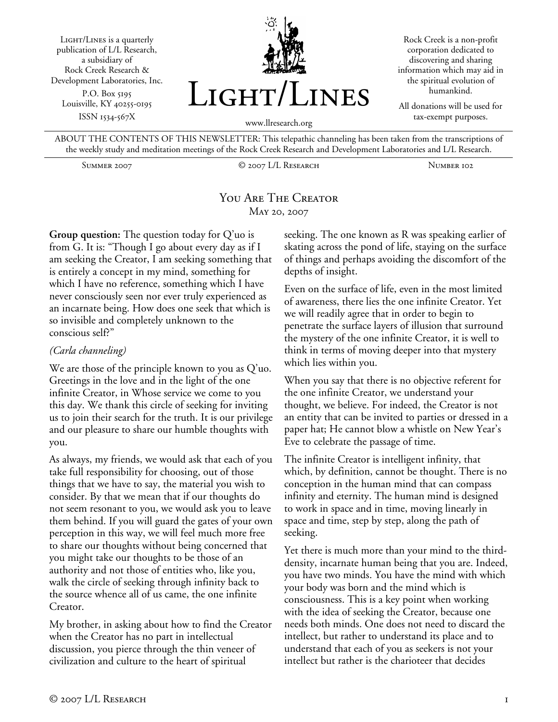Light/Lines is a quarterly publication of L/L Research, a subsidiary of Rock Creek Research & Development Laboratories, Inc. P.O. Box 5195 Louisville, KY 40255-0195 ISSN 1534-567X



Rock Creek is a non-profit corporation dedicated to discovering and sharing information which may aid in the spiritual evolution of humankind.

All donations will be used for tax-exempt purposes.

ABOUT THE CONTENTS OF THIS NEWSLETTER: This telepathic channeling has been taken from the transcriptions of the weekly study and meditation meetings of the Rock Creek Research and Development Laboratories and L/L Research.

Summer 2007 © 2007 L/L Research Number 102

## You Are The Creator May 20, 2007

**Group question:** The question today for Q'uo is from G. It is: "Though I go about every day as if I am seeking the Creator, I am seeking something that is entirely a concept in my mind, something for which I have no reference, something which I have never consciously seen nor ever truly experienced as an incarnate being. How does one seek that which is so invisible and completely unknown to the conscious self?"

## *(Carla channeling)*

We are those of the principle known to you as Q'uo. Greetings in the love and in the light of the one infinite Creator, in Whose service we come to you this day. We thank this circle of seeking for inviting us to join their search for the truth. It is our privilege and our pleasure to share our humble thoughts with you.

As always, my friends, we would ask that each of you take full responsibility for choosing, out of those things that we have to say, the material you wish to consider. By that we mean that if our thoughts do not seem resonant to you, we would ask you to leave them behind. If you will guard the gates of your own perception in this way, we will feel much more free to share our thoughts without being concerned that you might take our thoughts to be those of an authority and not those of entities who, like you, walk the circle of seeking through infinity back to the source whence all of us came, the one infinite Creator.

My brother, in asking about how to find the Creator when the Creator has no part in intellectual discussion, you pierce through the thin veneer of civilization and culture to the heart of spiritual

seeking. The one known as R was speaking earlier of skating across the pond of life, staying on the surface of things and perhaps avoiding the discomfort of the depths of insight.

Even on the surface of life, even in the most limited of awareness, there lies the one infinite Creator. Yet we will readily agree that in order to begin to penetrate the surface layers of illusion that surround the mystery of the one infinite Creator, it is well to think in terms of moving deeper into that mystery which lies within you.

When you say that there is no objective referent for the one infinite Creator, we understand your thought, we believe. For indeed, the Creator is not an entity that can be invited to parties or dressed in a paper hat; He cannot blow a whistle on New Year's Eve to celebrate the passage of time.

The infinite Creator is intelligent infinity, that which, by definition, cannot be thought. There is no conception in the human mind that can compass infinity and eternity. The human mind is designed to work in space and in time, moving linearly in space and time, step by step, along the path of seeking.

Yet there is much more than your mind to the thirddensity, incarnate human being that you are. Indeed, you have two minds. You have the mind with which your body was born and the mind which is consciousness. This is a key point when working with the idea of seeking the Creator, because one needs both minds. One does not need to discard the intellect, but rather to understand its place and to understand that each of you as seekers is not your intellect but rather is the charioteer that decides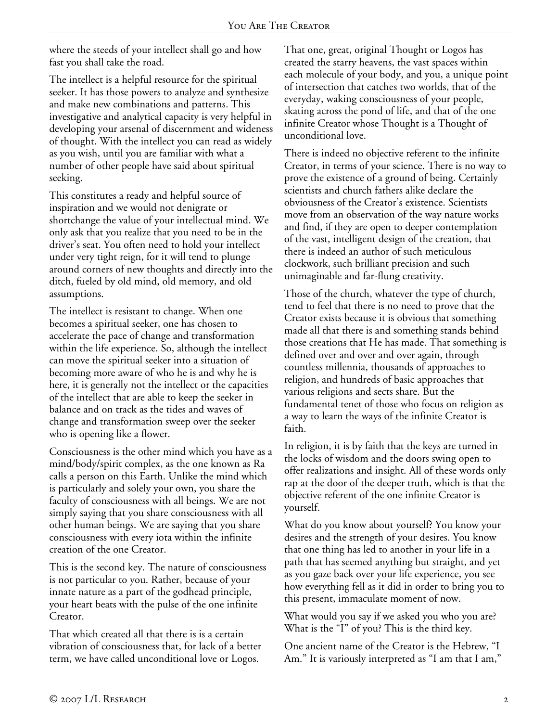where the steeds of your intellect shall go and how fast you shall take the road.

The intellect is a helpful resource for the spiritual seeker. It has those powers to analyze and synthesize and make new combinations and patterns. This investigative and analytical capacity is very helpful in developing your arsenal of discernment and wideness of thought. With the intellect you can read as widely as you wish, until you are familiar with what a number of other people have said about spiritual seeking.

This constitutes a ready and helpful source of inspiration and we would not denigrate or shortchange the value of your intellectual mind. We only ask that you realize that you need to be in the driver's seat. You often need to hold your intellect under very tight reign, for it will tend to plunge around corners of new thoughts and directly into the ditch, fueled by old mind, old memory, and old assumptions.

The intellect is resistant to change. When one becomes a spiritual seeker, one has chosen to accelerate the pace of change and transformation within the life experience. So, although the intellect can move the spiritual seeker into a situation of becoming more aware of who he is and why he is here, it is generally not the intellect or the capacities of the intellect that are able to keep the seeker in balance and on track as the tides and waves of change and transformation sweep over the seeker who is opening like a flower.

Consciousness is the other mind which you have as a mind/body/spirit complex, as the one known as Ra calls a person on this Earth. Unlike the mind which is particularly and solely your own, you share the faculty of consciousness with all beings. We are not simply saying that you share consciousness with all other human beings. We are saying that you share consciousness with every iota within the infinite creation of the one Creator.

This is the second key. The nature of consciousness is not particular to you. Rather, because of your innate nature as a part of the godhead principle, your heart beats with the pulse of the one infinite Creator.

That which created all that there is is a certain vibration of consciousness that, for lack of a better term, we have called unconditional love or Logos.

That one, great, original Thought or Logos has created the starry heavens, the vast spaces within each molecule of your body, and you, a unique point of intersection that catches two worlds, that of the everyday, waking consciousness of your people, skating across the pond of life, and that of the one infinite Creator whose Thought is a Thought of unconditional love.

There is indeed no objective referent to the infinite Creator, in terms of your science. There is no way to prove the existence of a ground of being. Certainly scientists and church fathers alike declare the obviousness of the Creator's existence. Scientists move from an observation of the way nature works and find, if they are open to deeper contemplation of the vast, intelligent design of the creation, that there is indeed an author of such meticulous clockwork, such brilliant precision and such unimaginable and far-flung creativity.

Those of the church, whatever the type of church, tend to feel that there is no need to prove that the Creator exists because it is obvious that something made all that there is and something stands behind those creations that He has made. That something is defined over and over and over again, through countless millennia, thousands of approaches to religion, and hundreds of basic approaches that various religions and sects share. But the fundamental tenet of those who focus on religion as a way to learn the ways of the infinite Creator is faith.

In religion, it is by faith that the keys are turned in the locks of wisdom and the doors swing open to offer realizations and insight. All of these words only rap at the door of the deeper truth, which is that the objective referent of the one infinite Creator is yourself.

What do you know about yourself? You know your desires and the strength of your desires. You know that one thing has led to another in your life in a path that has seemed anything but straight, and yet as you gaze back over your life experience, you see how everything fell as it did in order to bring you to this present, immaculate moment of now.

What would you say if we asked you who you are? What is the "I" of you? This is the third key.

One ancient name of the Creator is the Hebrew, "I Am." It is variously interpreted as "I am that I am,"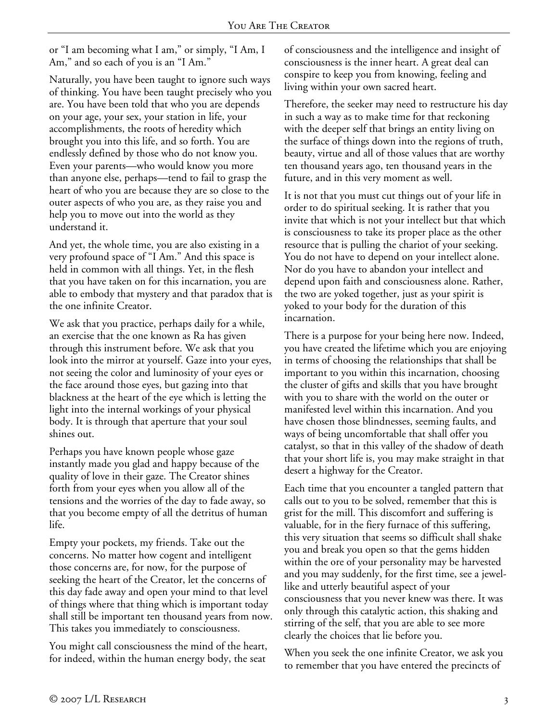or "I am becoming what I am," or simply, "I Am, I Am," and so each of you is an "I Am."

Naturally, you have been taught to ignore such ways of thinking. You have been taught precisely who you are. You have been told that who you are depends on your age, your sex, your station in life, your accomplishments, the roots of heredity which brought you into this life, and so forth. You are endlessly defined by those who do not know you. Even your parents—who would know you more than anyone else, perhaps—tend to fail to grasp the heart of who you are because they are so close to the outer aspects of who you are, as they raise you and help you to move out into the world as they understand it.

And yet, the whole time, you are also existing in a very profound space of "I Am." And this space is held in common with all things. Yet, in the flesh that you have taken on for this incarnation, you are able to embody that mystery and that paradox that is the one infinite Creator.

We ask that you practice, perhaps daily for a while, an exercise that the one known as Ra has given through this instrument before. We ask that you look into the mirror at yourself. Gaze into your eyes, not seeing the color and luminosity of your eyes or the face around those eyes, but gazing into that blackness at the heart of the eye which is letting the light into the internal workings of your physical body. It is through that aperture that your soul shines out.

Perhaps you have known people whose gaze instantly made you glad and happy because of the quality of love in their gaze. The Creator shines forth from your eyes when you allow all of the tensions and the worries of the day to fade away, so that you become empty of all the detritus of human life.

Empty your pockets, my friends. Take out the concerns. No matter how cogent and intelligent those concerns are, for now, for the purpose of seeking the heart of the Creator, let the concerns of this day fade away and open your mind to that level of things where that thing which is important today shall still be important ten thousand years from now. This takes you immediately to consciousness.

You might call consciousness the mind of the heart, for indeed, within the human energy body, the seat

of consciousness and the intelligence and insight of consciousness is the inner heart. A great deal can conspire to keep you from knowing, feeling and living within your own sacred heart.

Therefore, the seeker may need to restructure his day in such a way as to make time for that reckoning with the deeper self that brings an entity living on the surface of things down into the regions of truth, beauty, virtue and all of those values that are worthy ten thousand years ago, ten thousand years in the future, and in this very moment as well.

It is not that you must cut things out of your life in order to do spiritual seeking. It is rather that you invite that which is not your intellect but that which is consciousness to take its proper place as the other resource that is pulling the chariot of your seeking. You do not have to depend on your intellect alone. Nor do you have to abandon your intellect and depend upon faith and consciousness alone. Rather, the two are yoked together, just as your spirit is yoked to your body for the duration of this incarnation.

There is a purpose for your being here now. Indeed, you have created the lifetime which you are enjoying in terms of choosing the relationships that shall be important to you within this incarnation, choosing the cluster of gifts and skills that you have brought with you to share with the world on the outer or manifested level within this incarnation. And you have chosen those blindnesses, seeming faults, and ways of being uncomfortable that shall offer you catalyst, so that in this valley of the shadow of death that your short life is, you may make straight in that desert a highway for the Creator.

Each time that you encounter a tangled pattern that calls out to you to be solved, remember that this is grist for the mill. This discomfort and suffering is valuable, for in the fiery furnace of this suffering, this very situation that seems so difficult shall shake you and break you open so that the gems hidden within the ore of your personality may be harvested and you may suddenly, for the first time, see a jewellike and utterly beautiful aspect of your consciousness that you never knew was there. It was only through this catalytic action, this shaking and stirring of the self, that you are able to see more clearly the choices that lie before you.

When you seek the one infinite Creator, we ask you to remember that you have entered the precincts of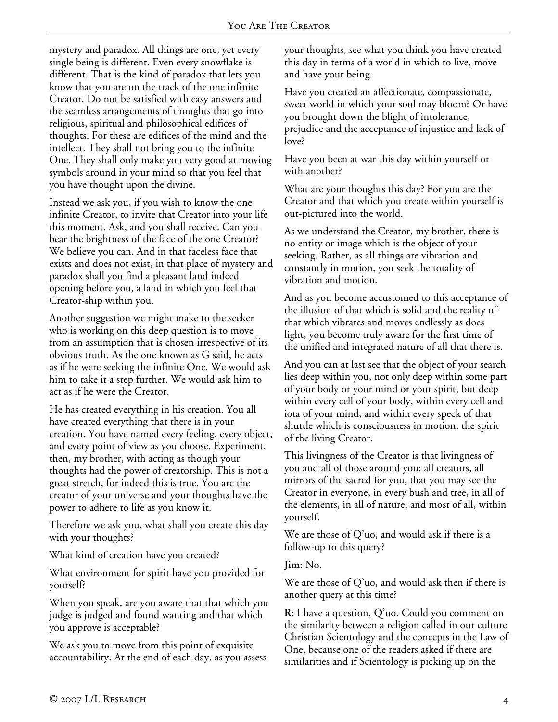mystery and paradox. All things are one, yet every single being is different. Even every snowflake is different. That is the kind of paradox that lets you know that you are on the track of the one infinite Creator. Do not be satisfied with easy answers and the seamless arrangements of thoughts that go into religious, spiritual and philosophical edifices of thoughts. For these are edifices of the mind and the intellect. They shall not bring you to the infinite One. They shall only make you very good at moving symbols around in your mind so that you feel that you have thought upon the divine.

Instead we ask you, if you wish to know the one infinite Creator, to invite that Creator into your life this moment. Ask, and you shall receive. Can you bear the brightness of the face of the one Creator? We believe you can. And in that faceless face that exists and does not exist, in that place of mystery and paradox shall you find a pleasant land indeed opening before you, a land in which you feel that Creator-ship within you.

Another suggestion we might make to the seeker who is working on this deep question is to move from an assumption that is chosen irrespective of its obvious truth. As the one known as G said, he acts as if he were seeking the infinite One. We would ask him to take it a step further. We would ask him to act as if he were the Creator.

He has created everything in his creation. You all have created everything that there is in your creation. You have named every feeling, every object, and every point of view as you choose. Experiment, then, my brother, with acting as though your thoughts had the power of creatorship. This is not a great stretch, for indeed this is true. You are the creator of your universe and your thoughts have the power to adhere to life as you know it.

Therefore we ask you, what shall you create this day with your thoughts?

What kind of creation have you created?

What environment for spirit have you provided for yourself?

When you speak, are you aware that that which you judge is judged and found wanting and that which you approve is acceptable?

We ask you to move from this point of exquisite accountability. At the end of each day, as you assess your thoughts, see what you think you have created this day in terms of a world in which to live, move and have your being.

Have you created an affectionate, compassionate, sweet world in which your soul may bloom? Or have you brought down the blight of intolerance, prejudice and the acceptance of injustice and lack of love?

Have you been at war this day within yourself or with another?

What are your thoughts this day? For you are the Creator and that which you create within yourself is out-pictured into the world.

As we understand the Creator, my brother, there is no entity or image which is the object of your seeking. Rather, as all things are vibration and constantly in motion, you seek the totality of vibration and motion.

And as you become accustomed to this acceptance of the illusion of that which is solid and the reality of that which vibrates and moves endlessly as does light, you become truly aware for the first time of the unified and integrated nature of all that there is.

And you can at last see that the object of your search lies deep within you, not only deep within some part of your body or your mind or your spirit, but deep within every cell of your body, within every cell and iota of your mind, and within every speck of that shuttle which is consciousness in motion, the spirit of the living Creator.

This livingness of the Creator is that livingness of you and all of those around you: all creators, all mirrors of the sacred for you, that you may see the Creator in everyone, in every bush and tree, in all of the elements, in all of nature, and most of all, within yourself.

We are those of Q'uo, and would ask if there is a follow-up to this query?

**Jim:** No.

We are those of Q'uo, and would ask then if there is another query at this time?

**R:** I have a question, Q'uo. Could you comment on the similarity between a religion called in our culture Christian Scientology and the concepts in the Law of One, because one of the readers asked if there are similarities and if Scientology is picking up on the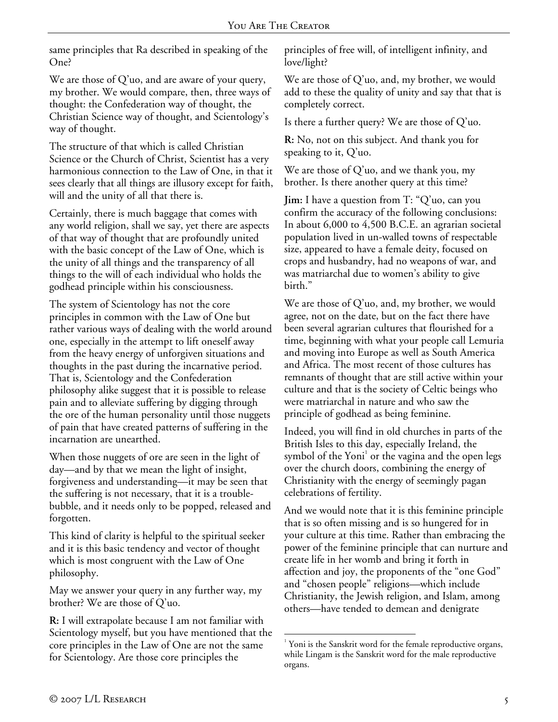same principles that Ra described in speaking of the One?

We are those of Q'uo, and are aware of your query, my brother. We would compare, then, three ways of thought: the Confederation way of thought, the Christian Science way of thought, and Scientology's way of thought.

The structure of that which is called Christian Science or the Church of Christ, Scientist has a very harmonious connection to the Law of One, in that it sees clearly that all things are illusory except for faith, will and the unity of all that there is.

Certainly, there is much baggage that comes with any world religion, shall we say, yet there are aspects of that way of thought that are profoundly united with the basic concept of the Law of One, which is the unity of all things and the transparency of all things to the will of each individual who holds the godhead principle within his consciousness.

The system of Scientology has not the core principles in common with the Law of One but rather various ways of dealing with the world around one, especially in the attempt to lift oneself away from the heavy energy of unforgiven situations and thoughts in the past during the incarnative period. That is, Scientology and the Confederation philosophy alike suggest that it is possible to release pain and to alleviate suffering by digging through the ore of the human personality until those nuggets of pain that have created patterns of suffering in the incarnation are unearthed.

When those nuggets of ore are seen in the light of day—and by that we mean the light of insight, forgiveness and understanding—it may be seen that the suffering is not necessary, that it is a troublebubble, and it needs only to be popped, released and forgotten.

This kind of clarity is helpful to the spiritual seeker and it is this basic tendency and vector of thought which is most congruent with the Law of One philosophy.

May we answer your query in any further way, my brother? We are those of Q'uo.

**R:** I will extrapolate because I am not familiar with Scientology myself, but you have mentioned that the core principles in the Law of One are not the same for Scientology. Are those core principles the

principles of free will, of intelligent infinity, and love/light?

We are those of Q'uo, and, my brother, we would add to these the quality of unity and say that that is completely correct.

Is there a further query? We are those of Q'uo.

**R:** No, not on this subject. And thank you for speaking to it, Q'uo.

We are those of Q'uo, and we thank you, my brother. Is there another query at this time?

**Jim:** I have a question from T: "Q'uo, can you confirm the accuracy of the following conclusions: In about 6,000 to 4,500 B.C.E. an agrarian societal population lived in un-walled towns of respectable size, appeared to have a female deity, focused on crops and husbandry, had no weapons of war, and was matriarchal due to women's ability to give birth."

We are those of Q'uo, and, my brother, we would agree, not on the date, but on the fact there have been several agrarian cultures that flourished for a time, beginning with what your people call Lemuria and moving into Europe as well as South America and Africa. The most recent of those cultures has remnants of thought that are still active within your culture and that is the society of Celtic beings who were matriarchal in nature and who saw the principle of godhead as being feminine.

Indeed, you will find in old churches in parts of the British Isles to this day, especially Ireland, the symbol of the Yoni<sup>1</sup> or the vagina and the open legs over the church doors, combining the energy of Christianity with the energy of seemingly pagan celebrations of fertility.

And we would note that it is this feminine principle that is so often missing and is so hungered for in your culture at this time. Rather than embracing the power of the feminine principle that can nurture and create life in her womb and bring it forth in affection and joy, the proponents of the "one God" and "chosen people" religions—which include Christianity, the Jewish religion, and Islam, among others—have tended to demean and denigrate

 $\overline{a}$ <sup>1</sup> Yoni is the Sanskrit word for the female reproductive organs, while Lingam is the Sanskrit word for the male reproductive organs.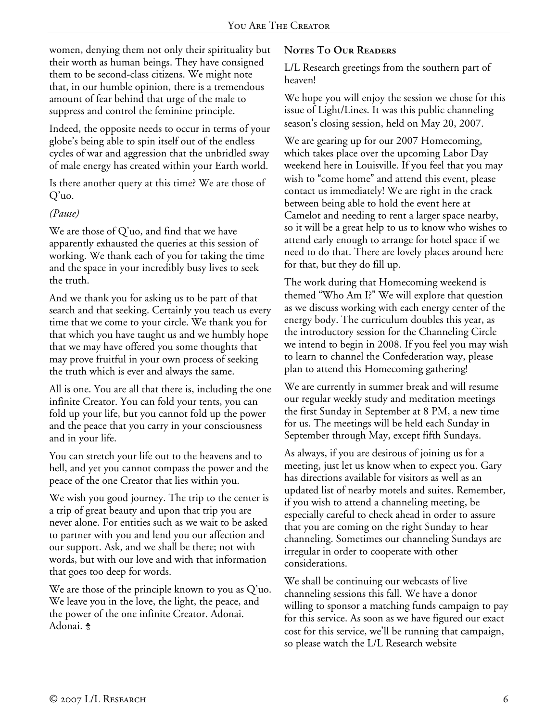women, denying them not only their spirituality but their worth as human beings. They have consigned them to be second-class citizens. We might note that, in our humble opinion, there is a tremendous amount of fear behind that urge of the male to suppress and control the feminine principle.

Indeed, the opposite needs to occur in terms of your globe's being able to spin itself out of the endless cycles of war and aggression that the unbridled sway of male energy has created within your Earth world.

Is there another query at this time? We are those of Q'uo.

## *(Pause)*

We are those of Q'uo, and find that we have apparently exhausted the queries at this session of working. We thank each of you for taking the time and the space in your incredibly busy lives to seek the truth.

And we thank you for asking us to be part of that search and that seeking. Certainly you teach us every time that we come to your circle. We thank you for that which you have taught us and we humbly hope that we may have offered you some thoughts that may prove fruitful in your own process of seeking the truth which is ever and always the same.

All is one. You are all that there is, including the one infinite Creator. You can fold your tents, you can fold up your life, but you cannot fold up the power and the peace that you carry in your consciousness and in your life.

You can stretch your life out to the heavens and to hell, and yet you cannot compass the power and the peace of the one Creator that lies within you.

We wish you good journey. The trip to the center is a trip of great beauty and upon that trip you are never alone. For entities such as we wait to be asked to partner with you and lend you our affection and our support. Ask, and we shall be there; not with words, but with our love and with that information that goes too deep for words.

We are those of the principle known to you as Q'uo. We leave you in the love, the light, the peace, and the power of the one infinite Creator. Adonai. Adonai. \$

## **Notes To Our Readers**

L/L Research greetings from the southern part of heaven!

We hope you will enjoy the session we chose for this issue of Light/Lines. It was this public channeling season's closing session, held on May 20, 2007.

We are gearing up for our 2007 Homecoming, which takes place over the upcoming Labor Day weekend here in Louisville. If you feel that you may wish to "come home" and attend this event, please contact us immediately! We are right in the crack between being able to hold the event here at Camelot and needing to rent a larger space nearby, so it will be a great help to us to know who wishes to attend early enough to arrange for hotel space if we need to do that. There are lovely places around here for that, but they do fill up.

The work during that Homecoming weekend is themed "Who Am I?" We will explore that question as we discuss working with each energy center of the energy body. The curriculum doubles this year, as the introductory session for the Channeling Circle we intend to begin in 2008. If you feel you may wish to learn to channel the Confederation way, please plan to attend this Homecoming gathering!

We are currently in summer break and will resume our regular weekly study and meditation meetings the first Sunday in September at 8 PM, a new time for us. The meetings will be held each Sunday in September through May, except fifth Sundays.

As always, if you are desirous of joining us for a meeting, just let us know when to expect you. Gary has directions available for visitors as well as an updated list of nearby motels and suites. Remember, if you wish to attend a channeling meeting, be especially careful to check ahead in order to assure that you are coming on the right Sunday to hear channeling. Sometimes our channeling Sundays are irregular in order to cooperate with other considerations.

We shall be continuing our webcasts of live channeling sessions this fall. We have a donor willing to sponsor a matching funds campaign to pay for this service. As soon as we have figured our exact cost for this service, we'll be running that campaign, so please watch the L/L Research website